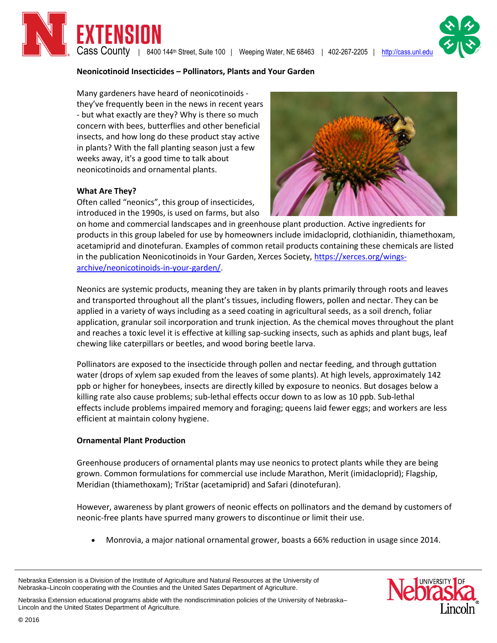$\textsf{Cass}$  County | 8400 144<sup>th</sup> Street, Suite 100 | Weeping Water, NE 68463 | 402-267-2205 | http://cass.unl.ed

#### **Neonicotinoid Insecticides – Pollinators, Plants and Your Garden**

Many gardeners have heard of neonicotinoids they've frequently been in the news in recent years - but what exactly are they? Why is there so much concern with bees, butterflies and other beneficial insects, and how long do these product stay active in plants? With the fall planting season just a few weeks away, it's a good time to talk about neonicotinoids and ornamental plants.

ENSION

#### **What Are They?**

Often called "neonics", this group of insecticides, introduced in the 1990s, is used on farms, but also

on home and commercial landscapes and in greenhouse plant production. Active ingredients for products in this group labeled for use by homeowners include imidacloprid, clothianidin, thiamethoxam, acetamiprid and dinotefuran. Examples of common retail products containing these chemicals are listed in the publication Neonicotinoids in Your Garden, Xerces Society, [https://xerces.org/wings](https://xerces.org/wings-archive/neonicotinoids-in-your-garden/)[archive/neonicotinoids-in-your-garden/.](https://xerces.org/wings-archive/neonicotinoids-in-your-garden/)

Neonics are systemic products, meaning they are taken in by plants primarily through roots and leaves and transported throughout all the plant's tissues, including flowers, pollen and nectar. They can be applied in a variety of ways including as a seed coating in agricultural seeds, as a soil drench, foliar application, granular soil incorporation and trunk injection. As the chemical moves throughout the plant and reaches a toxic level it is effective at killing sap-sucking insects, such as aphids and plant bugs, leaf chewing like caterpillars or beetles, and wood boring beetle larva.

Pollinators are exposed to the insecticide through pollen and nectar feeding, and through guttation water (drops of xylem sap exuded from the leaves of some plants). At high levels, approximately 142 ppb or higher for honeybees, insects are directly killed by exposure to neonics. But dosages below a killing rate also cause problems; sub-lethal effects occur down to as low as 10 ppb. Sub-lethal effects include problems impaired memory and foraging; queens laid fewer eggs; and workers are less efficient at maintain colony hygiene.

#### **Ornamental Plant Production**

Greenhouse producers of ornamental plants may use neonics to protect plants while they are being grown. Common formulations for commercial use include Marathon, Merit (imidacloprid); Flagship, Meridian (thiamethoxam); TriStar (acetamiprid) and Safari (dinotefuran).

However, awareness by plant growers of neonic effects on pollinators and the demand by customers of neonic-free plants have spurred many growers to discontinue or limit their use.

Monrovia, a major national ornamental grower, boasts a 66% reduction in usage since 2014.

Nebraska Extension is a Division of the Institute of Agriculture and Natural Resources at the University of Nebraska–Lincoln cooperating with the Counties and the United Sates Department of Agriculture.

Nebraska Extension educational programs abide with the nondiscrimination policies of the University of Nebraska– Lincoln and the United States Department of Agriculture.







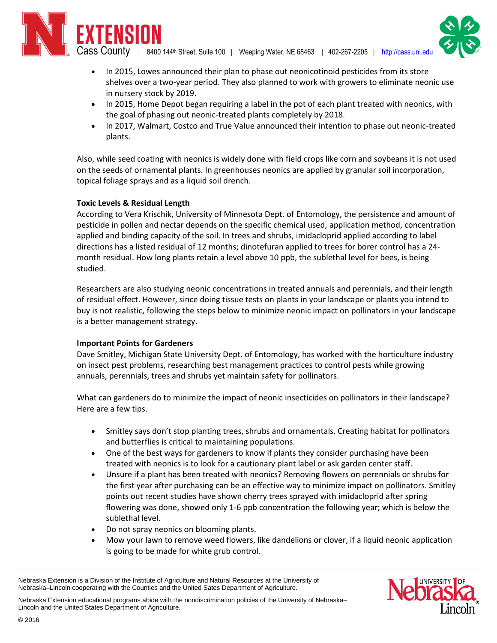FNSINN

 $\sf{ Cass}\:\:County \:\: | \:\: 8400\:\:144$ th Street, Suite 100  $\:$  Weeping Water, NE 68463  $\:$  | 402-267-2205  $\:$  |  $\:$  http://cass.unl.edi

- In 2015, Lowes announced their plan to phase out neonicotinoid pesticides from its store shelves over a two-year period. They also planned to work with growers to eliminate neonic use in nursery stock by 2019.
- In 2015, Home Depot began requiring a label in the pot of each plant treated with neonics, with the goal of phasing out neonic-treated plants completely by 2018.
- In 2017, Walmart, Costco and True Value announced their intention to phase out neonic-treated plants.

Also, while seed coating with neonics is widely done with field crops like corn and soybeans it is not used on the seeds of ornamental plants. In greenhouses neonics are applied by granular soil incorporation, topical foliage sprays and as a liquid soil drench.

# **Toxic Levels & Residual Length**

According to Vera Krischik, University of Minnesota Dept. of Entomology, the persistence and amount of pesticide in pollen and nectar depends on the specific chemical used, application method, concentration applied and binding capacity of the soil. In trees and shrubs, imidacloprid applied according to label directions has a listed residual of 12 months; dinotefuran applied to trees for borer control has a 24 month residual. How long plants retain a level above 10 ppb, the sublethal level for bees, is being studied.

Researchers are also studying neonic concentrations in treated annuals and perennials, and their length of residual effect. However, since doing tissue tests on plants in your landscape or plants you intend to buy is not realistic, following the steps below to minimize neonic impact on pollinators in your landscape is a better management strategy.

# **Important Points for Gardeners**

Dave Smitley, Michigan State University Dept. of Entomology, has worked with the horticulture industry on insect pest problems, researching best management practices to control pests while growing annuals, perennials, trees and shrubs yet maintain safety for pollinators.

What can gardeners do to minimize the impact of neonic insecticides on pollinators in their landscape? Here are a few tips.

- Smitley says don't stop planting trees, shrubs and ornamentals. Creating habitat for pollinators and butterflies is critical to maintaining populations.
- One of the best ways for gardeners to know if plants they consider purchasing have been treated with neonics is to look for a cautionary plant label or ask garden center staff.
- Unsure if a plant has been treated with neonics? Removing flowers on perennials or shrubs for the first year after purchasing can be an effective way to minimize impact on pollinators. Smitley points out recent studies have shown cherry trees sprayed with imidacloprid after spring flowering was done, showed only 1-6 ppb concentration the following year; which is below the sublethal level.
- Do not spray neonics on blooming plants.
- Mow your lawn to remove weed flowers, like dandelions or clover, if a liquid neonic application is going to be made for white grub control.



Nebraska Extension is a Division of the Institute of Agriculture and Natural Resources at the University of Nebraska–Lincoln cooperating with the Counties and the United Sates Department of Agriculture.